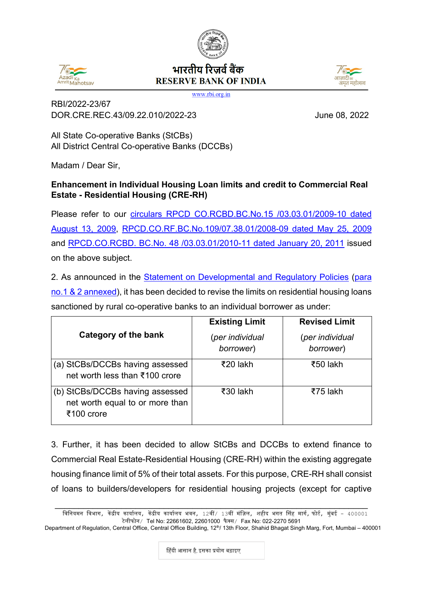## भारतीय रिजर्व बैंक **RESERVE BANK OF INDIA**

www.rbi.org.in

RBI/2022-23/67 DOR.CRE.REC.43/09.22.010/2022-23 June 08, 2022

All State Co-operative Banks (StCBs) All District Central Co-operative Banks (DCCBs)

Madam / Dear Sir,

## **Enhancement in Individual Housing Loan limits and credit to Commercial Real Estate - Residential Housing (CRE-RH)**

Please refer to our [circulars RPCD CO.RCBD.BC.No.15 /03.03.01/2009-10 dated](https://rbi.org.in/Scripts/NotificationUser.aspx?Id=5213&Mode=0)  [August 13, 2009,](https://rbi.org.in/Scripts/NotificationUser.aspx?Id=5213&Mode=0) [RPCD.CO.RF.BC.No.109/07.38.01/2008-09 dated May 25, 2009](https://rbi.org.in/Scripts/NotificationUser.aspx?Id=4999&Mode=0) and [RPCD.CO.RCBD. BC.No. 48 /03.03.01/2010-11 dated January 20, 2011](https://rbi.org.in/Scripts/NotificationUser.aspx?Id=6230&Mode=0) issued on the above subject.

2. As announced in the Statement on [Developmental and Regulatory Policies](https://rbi.org.in/Scripts/BS_PressReleaseDisplay.aspx?prid=53831) [\(para](#page-2-0)  no.1 [& 2 annexed\)](#page-2-0), it has been decided to revise the limits on residential housing loans sanctioned by rural co-operative banks to an individual borrower as under:

|                                                                                  | <b>Existing Limit</b>        | <b>Revised Limit</b>         |
|----------------------------------------------------------------------------------|------------------------------|------------------------------|
| Category of the bank                                                             | (per individual<br>borrower) | (per individual<br>borrower) |
| (a) StCBs/DCCBs having assessed<br>net worth less than ₹100 crore                | ₹20 lakh                     | ₹50 lakh                     |
| (b) StCBs/DCCBs having assessed<br>net worth equal to or more than<br>₹100 crore | ₹30 lakh                     | ₹75 lakh                     |

3. Further, it has been decided to allow StCBs and DCCBs to extend finance to Commercial Real Estate-Residential Housing (CRE-RH) within the existing aggregate housing finance limit of 5% of their total assets. For this purpose, CRE-RH shall consist of loans to builders/developers for residential housing projects (except for captive

Department of Regulation, Central Office, Central Office Building, 12<sup>th</sup>/ 13th Floor, Shahid Bhagat Singh Marg, Fort, Mumbai – 400001





\_\_\_\_\_\_\_\_\_\_\_\_\_\_\_\_\_\_\_\_\_\_\_\_\_\_\_\_\_\_\_\_\_\_\_\_\_\_\_\_\_\_\_\_\_\_\_\_\_\_\_\_\_\_\_\_\_\_\_\_\_\_\_\_\_\_ विनियमन विभाग, केंद्रीय कार्यालय, केंद्रीय कार्यालय भवन, 12वीं/ 13वीं मंज़िल, शहीद भगत सिंह मार्ग, फोर्ट, मुंबई – 400001 टेलीफोन/ Tel No: 22661602, 22601000 फै क्स/ Fax No: 022-2270 5691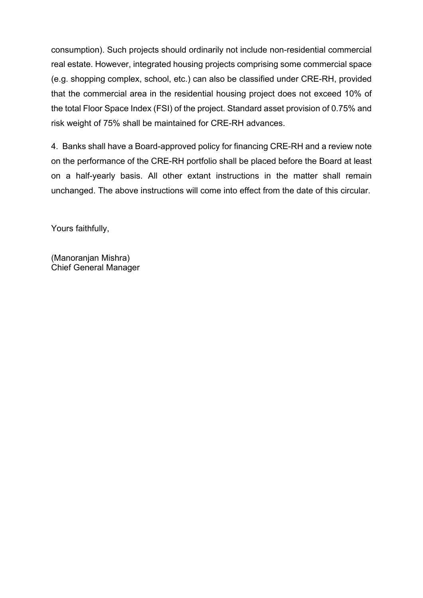consumption). Such projects should ordinarily not include non-residential commercial real estate. However, integrated housing projects comprising some commercial space (e.g. shopping complex, school, etc.) can also be classified under CRE-RH, provided that the commercial area in the residential housing project does not exceed 10% of the total Floor Space Index (FSI) of the project. Standard asset provision of 0.75% and risk weight of 75% shall be maintained for CRE-RH advances.

4. Banks shall have a Board-approved policy for financing CRE-RH and a review note on the performance of the CRE-RH portfolio shall be placed before the Board at least on a half-yearly basis. All other extant instructions in the matter shall remain unchanged. The above instructions will come into effect from the date of this circular.

Yours faithfully,

(Manoranjan Mishra) Chief General Manager